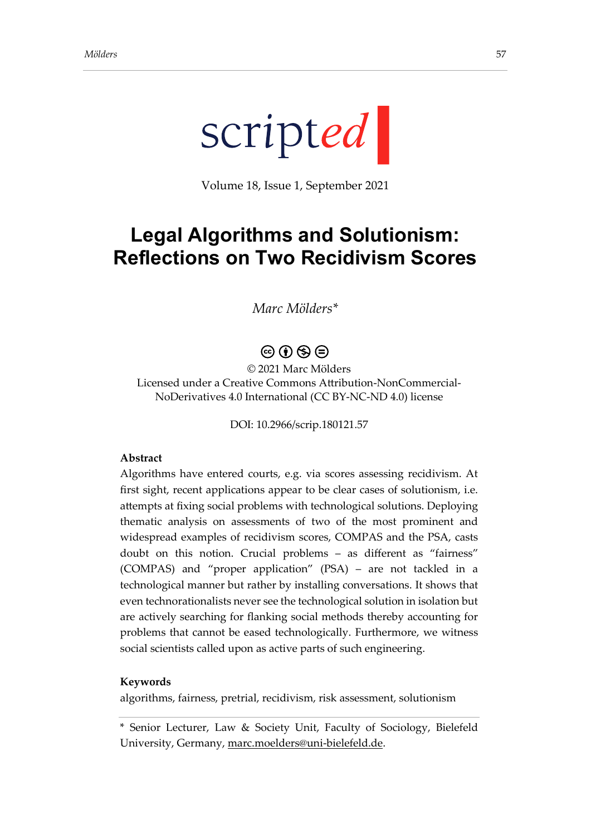

Volume 18, Issue 1, September 2021

# **Legal Algorithms and Solutionism: Reflections on Two Recidivism Scores**

## *Marc Mölders\**

## $\circledcirc$  (i)  $\circledcirc$   $\ominus$

© 2021 Marc Mölders Licensed under a Creative Commons Attribution-NonCommercial-NoDerivatives 4.0 International (CC BY-NC-ND 4.0) license

DOI: 10.2966/scrip.180121.57

#### **Abstract**

Algorithms have entered courts, e.g. via scores assessing recidivism. At first sight, recent applications appear to be clear cases of solutionism, i.e. attempts at fixing social problems with technological solutions. Deploying thematic analysis on assessments of two of the most prominent and widespread examples of recidivism scores, COMPAS and the PSA, casts doubt on this notion. Crucial problems – as different as "fairness" (COMPAS) and "proper application" (PSA) – are not tackled in a technological manner but rather by installing conversations. It shows that even technorationalists never see the technological solution in isolation but are actively searching for flanking social methods thereby accounting for problems that cannot be eased technologically. Furthermore, we witness social scientists called upon as active parts of such engineering.

#### **Keywords**

algorithms, fairness, pretrial, recidivism, risk assessment, solutionism

<sup>\*</sup> Senior Lecturer, Law & Society Unit, Faculty of Sociology, Bielefeld University, Germany, [marc.moelders@uni-bielefeld.de.](mailto:marc.moelders@uni-bielefeld.de)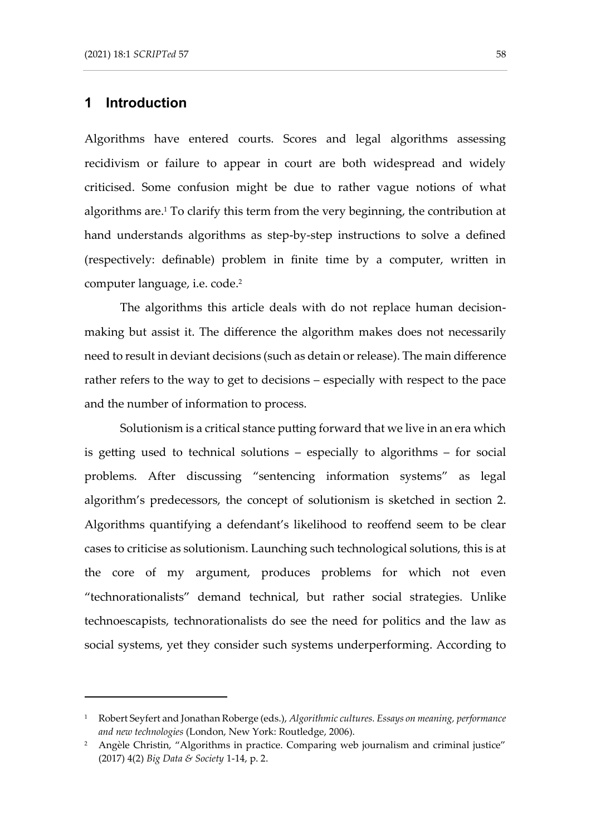## **1 Introduction**

Algorithms have entered courts. Scores and legal algorithms assessing recidivism or failure to appear in court are both widespread and widely criticised. Some confusion might be due to rather vague notions of what algorithms are. <sup>1</sup> To clarify this term from the very beginning, the contribution at hand understands algorithms as step-by-step instructions to solve a defined (respectively: definable) problem in finite time by a computer, written in computer language, i.e. code. 2

The algorithms this article deals with do not replace human decisionmaking but assist it. The difference the algorithm makes does not necessarily need to result in deviant decisions (such as detain or release). The main difference rather refers to the way to get to decisions – especially with respect to the pace and the number of information to process.

Solutionism is a critical stance putting forward that we live in an era which is getting used to technical solutions – especially to algorithms – for social problems. After discussing "sentencing information systems" as legal algorithm's predecessors, the concept of solutionism is sketched in section 2. Algorithms quantifying a defendant's likelihood to reoffend seem to be clear cases to criticise as solutionism. Launching such technological solutions, this is at the core of my argument, produces problems for which not even "technorationalists" demand technical, but rather social strategies. Unlike technoescapists, technorationalists do see the need for politics and the law as social systems, yet they consider such systems underperforming. According to

<sup>1</sup> Robert Seyfert and Jonathan Roberge (eds.), *Algorithmic cultures. Essays on meaning, performance and new technologies* (London, New York: Routledge, 2006).

<sup>&</sup>lt;sup>2</sup> Angèle Christin, "Algorithms in practice. Comparing web journalism and criminal justice" (2017) 4(2) *Big Data & Society* 1-14, p. 2.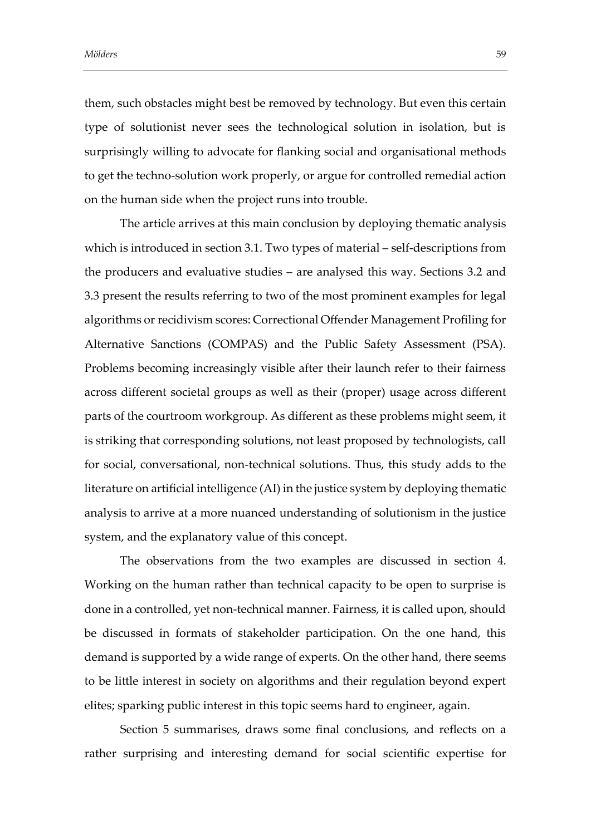them, such obstacles might best be removed by technology. But even this certain type of solutionist never sees the technological solution in isolation, but is surprisingly willing to advocate for flanking social and organisational methods to get the techno-solution work properly, or argue for controlled remedial action on the human side when the project runs into trouble.

The article arrives at this main conclusion by deploying thematic analysis which is introduced in section 3.1. Two types of material – self-descriptions from the producers and evaluative studies – are analysed this way. Sections 3.2 and 3.3 present the results referring to two of the most prominent examples for legal algorithms or recidivism scores: Correctional Offender Management Profiling for Alternative Sanctions (COMPAS) and the Public Safety Assessment (PSA). Problems becoming increasingly visible after their launch refer to their fairness across different societal groups as well as their (proper) usage across different parts of the courtroom workgroup. As different as these problems might seem, it is striking that corresponding solutions, not least proposed by technologists, call for social, conversational, non-technical solutions. Thus, this study adds to the literature on artificial intelligence (AI) in the justice system by deploying thematic analysis to arrive at a more nuanced understanding of solutionism in the justice system, and the explanatory value of this concept.

The observations from the two examples are discussed in section 4. Working on the human rather than technical capacity to be open to surprise is done in a controlled, yet non-technical manner. Fairness, it is called upon, should be discussed in formats of stakeholder participation. On the one hand, this demand is supported by a wide range of experts. On the other hand, there seems to be little interest in society on algorithms and their regulation beyond expert elites; sparking public interest in this topic seems hard to engineer, again.

Section 5 summarises, draws some final conclusions, and reflects on a rather surprising and interesting demand for social scientific expertise for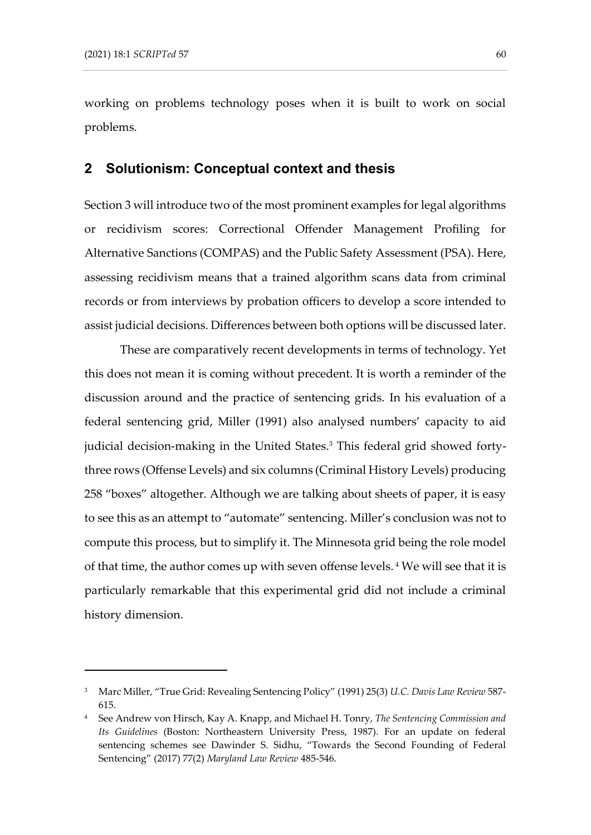working on problems technology poses when it is built to work on social problems.

#### **2 Solutionism: Conceptual context and thesis**

Section 3 will introduce two of the most prominent examples for legal algorithms or recidivism scores: Correctional Offender Management Profiling for Alternative Sanctions (COMPAS) and the Public Safety Assessment (PSA). Here, assessing recidivism means that a trained algorithm scans data from criminal records or from interviews by probation officers to develop a score intended to assist judicial decisions. Differences between both options will be discussed later.

These are comparatively recent developments in terms of technology. Yet this does not mean it is coming without precedent. It is worth a reminder of the discussion around and the practice of sentencing grids. In his evaluation of a federal sentencing grid, Miller (1991) also analysed numbers' capacity to aid judicial decision-making in the United States. <sup>3</sup> This federal grid showed fortythree rows (Offense Levels) and six columns (Criminal History Levels) producing 258 "boxes" altogether. Although we are talking about sheets of paper, it is easy to see this as an attempt to "automate" sentencing. Miller's conclusion was not to compute this process, but to simplify it. The Minnesota grid being the role model of that time, the author comes up with seven offense levels. <sup>4</sup> We will see that it is particularly remarkable that this experimental grid did not include a criminal history dimension.

<sup>3</sup> Marc Miller, "True Grid: Revealing Sentencing Policy" (1991) 25(3) *U.C. Davis Law Review* 587- 615.

<sup>4</sup> See Andrew von Hirsch, Kay A. Knapp, and Michael H. Tonry, *The Sentencing Commission and Its Guidelines* (Boston: Northeastern University Press, 1987). For an update on federal sentencing schemes see Dawinder S. Sidhu, "Towards the Second Founding of Federal Sentencing" (2017) 77(2) *Maryland Law Review* 485-546.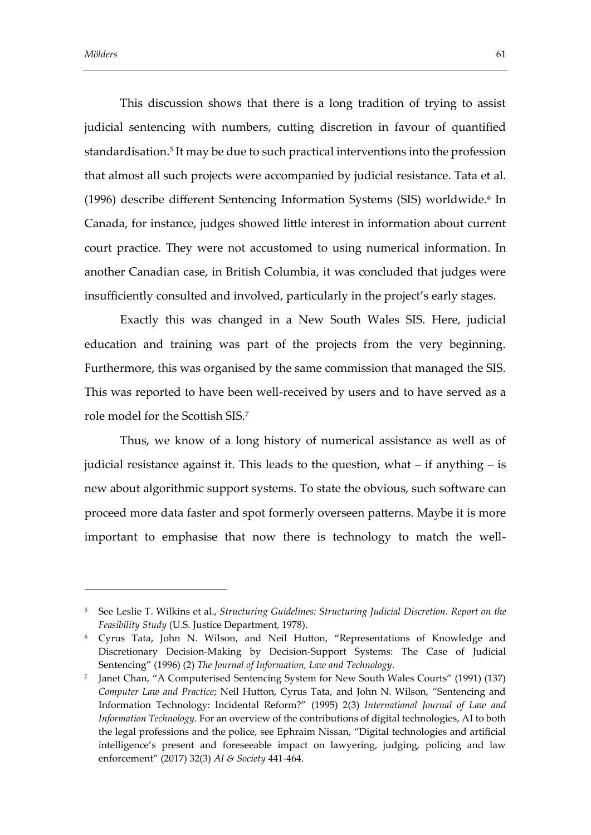This discussion shows that there is a long tradition of trying to assist judicial sentencing with numbers, cutting discretion in favour of quantified standardisation. 5 It may be due to such practical interventions into the profession that almost all such projects were accompanied by judicial resistance. Tata et al. (1996) describe different Sentencing Information Systems (SIS) worldwide.<sup>6</sup> In Canada, for instance, judges showed little interest in information about current court practice. They were not accustomed to using numerical information. In another Canadian case, in British Columbia, it was concluded that judges were insufficiently consulted and involved, particularly in the project's early stages.

Exactly this was changed in a New South Wales SIS. Here, judicial education and training was part of the projects from the very beginning. Furthermore, this was organised by the same commission that managed the SIS. This was reported to have been well-received by users and to have served as a role model for the Scottish SIS.<sup>7</sup>

Thus, we know of a long history of numerical assistance as well as of judicial resistance against it. This leads to the question, what – if anything – is new about algorithmic support systems. To state the obvious, such software can proceed more data faster and spot formerly overseen patterns. Maybe it is more important to emphasise that now there is technology to match the well-

<sup>5</sup> See Leslie T. Wilkins et al., *Structuring Guidelines: Structuring Judicial Discretion. Report on the Feasibility Study* (U.S. Justice Department, 1978).

<sup>6</sup> Cyrus Tata, John N. Wilson, and Neil Hutton, "Representations of Knowledge and Discretionary Decision-Making by Decision-Support Systems: The Case of Judicial Sentencing" (1996) (2) *The Journal of Information, Law and Technology*.

<sup>7</sup> Janet Chan, "A Computerised Sentencing System for New South Wales Courts" (1991) (137) *Computer Law and Practice*; Neil Hutton, Cyrus Tata, and John N. Wilson, "Sentencing and Information Technology: Incidental Reform?" (1995) 2(3) *International Journal of Law and Information Technology*. For an overview of the contributions of digital technologies, AI to both the legal professions and the police, see Ephraim Nissan, "Digital technologies and artificial intelligence's present and foreseeable impact on lawyering, judging, policing and law enforcement" (2017) 32(3) *AI & Society* 441-464.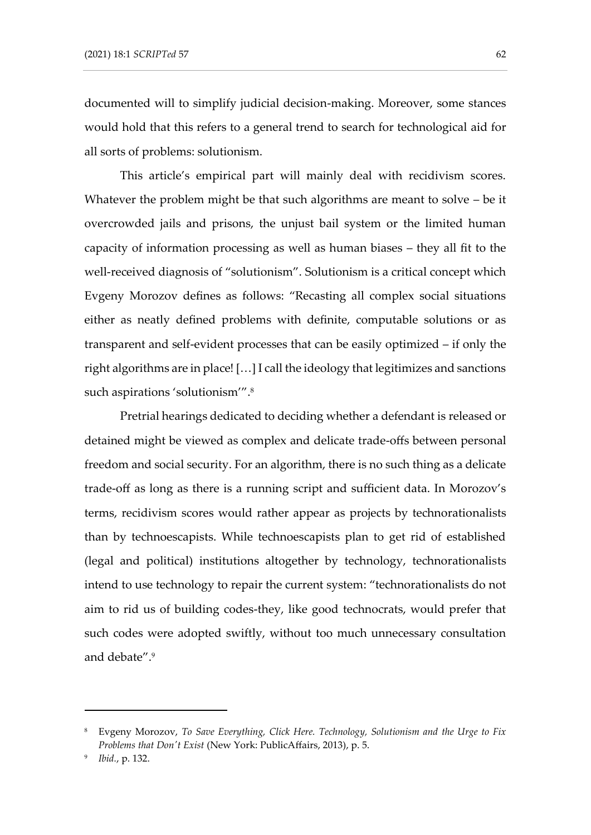documented will to simplify judicial decision-making. Moreover, some stances would hold that this refers to a general trend to search for technological aid for all sorts of problems: solutionism.

This article's empirical part will mainly deal with recidivism scores. Whatever the problem might be that such algorithms are meant to solve – be it overcrowded jails and prisons, the unjust bail system or the limited human capacity of information processing as well as human biases – they all fit to the well-received diagnosis of "solutionism". Solutionism is a critical concept which Evgeny Morozov defines as follows: "Recasting all complex social situations either as neatly defined problems with definite, computable solutions or as transparent and self-evident processes that can be easily optimized – if only the right algorithms are in place! […] I call the ideology that legitimizes and sanctions such aspirations 'solutionism'". 8

Pretrial hearings dedicated to deciding whether a defendant is released or detained might be viewed as complex and delicate trade-offs between personal freedom and social security. For an algorithm, there is no such thing as a delicate trade-off as long as there is a running script and sufficient data. In Morozov's terms, recidivism scores would rather appear as projects by technorationalists than by technoescapists. While technoescapists plan to get rid of established (legal and political) institutions altogether by technology, technorationalists intend to use technology to repair the current system: "technorationalists do not aim to rid us of building codes-they, like good technocrats, would prefer that such codes were adopted swiftly, without too much unnecessary consultation and debate". 9

<sup>8</sup> Evgeny Morozov, *To Save Everything, Click Here. Technology, Solutionism and the Urge to Fix Problems that Don't Exist* (New York: PublicAffairs, 2013), p. 5.

<sup>9</sup> *Ibid.*, p. 132.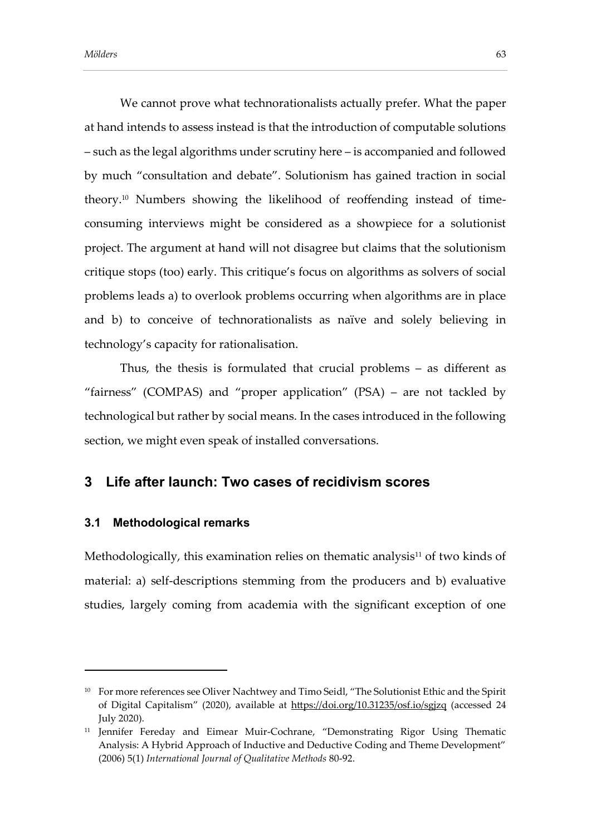We cannot prove what technorationalists actually prefer. What the paper at hand intends to assess instead is that the introduction of computable solutions – such as the legal algorithms under scrutiny here – is accompanied and followed by much "consultation and debate". Solutionism has gained traction in social theory.<sup>10</sup> Numbers showing the likelihood of reoffending instead of timeconsuming interviews might be considered as a showpiece for a solutionist project. The argument at hand will not disagree but claims that the solutionism critique stops (too) early. This critique's focus on algorithms as solvers of social problems leads a) to overlook problems occurring when algorithms are in place and b) to conceive of technorationalists as naïve and solely believing in technology's capacity for rationalisation.

Thus, the thesis is formulated that crucial problems – as different as "fairness" (COMPAS) and "proper application" (PSA) – are not tackled by technological but rather by social means. In the cases introduced in the following section, we might even speak of installed conversations.

## **3 Life after launch: Two cases of recidivism scores**

#### **3.1 Methodological remarks**

Methodologically, this examination relies on thematic analysis $11$  of two kinds of material: a) self-descriptions stemming from the producers and b) evaluative studies, largely coming from academia with the significant exception of one

<sup>&</sup>lt;sup>10</sup> For more references see Oliver Nachtwey and Timo Seidl, "The Solutionist Ethic and the Spirit of Digital Capitalism" (2020), available at https://doi.org/10.31235/osf.io/sgjzq (accessed 24 July 2020).

<sup>&</sup>lt;sup>11</sup> Jennifer Fereday and Eimear Muir-Cochrane, "Demonstrating Rigor Using Thematic Analysis: A Hybrid Approach of Inductive and Deductive Coding and Theme Development" (2006) 5(1) *International Journal of Qualitative Methods* 80-92.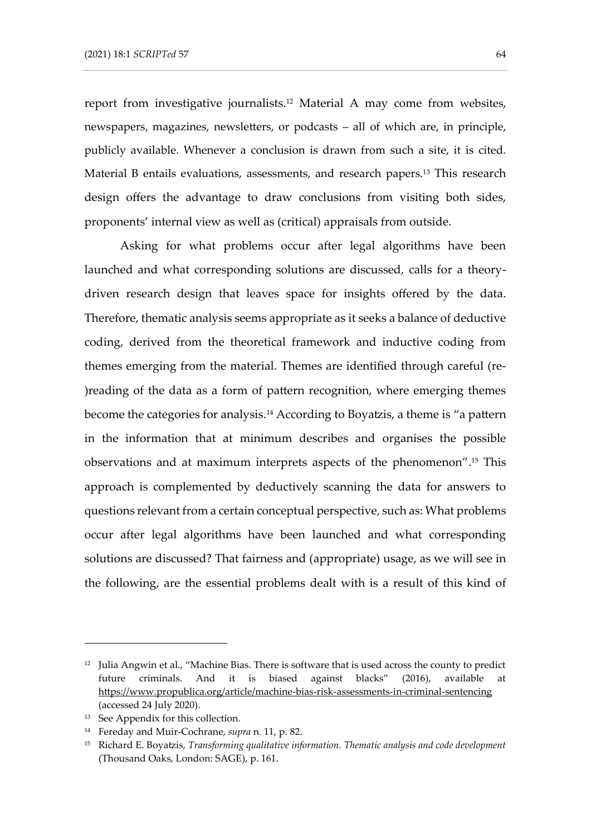report from investigative journalists.<sup>12</sup> Material A may come from websites, newspapers, magazines, newsletters, or podcasts – all of which are, in principle, publicly available. Whenever a conclusion is drawn from such a site, it is cited. Material B entails evaluations, assessments, and research papers.<sup>13</sup> This research design offers the advantage to draw conclusions from visiting both sides, proponents' internal view as well as (critical) appraisals from outside.

Asking for what problems occur after legal algorithms have been launched and what corresponding solutions are discussed, calls for a theorydriven research design that leaves space for insights offered by the data. Therefore, thematic analysis seems appropriate as it seeks a balance of deductive coding, derived from the theoretical framework and inductive coding from themes emerging from the material. Themes are identified through careful (re- )reading of the data as a form of pattern recognition, where emerging themes become the categories for analysis.<sup>14</sup> According to Boyatzis, a theme is "a pattern in the information that at minimum describes and organises the possible observations and at maximum interprets aspects of the phenomenon". <sup>15</sup> This approach is complemented by deductively scanning the data for answers to questions relevant from a certain conceptual perspective, such as: What problems occur after legal algorithms have been launched and what corresponding solutions are discussed? That fairness and (appropriate) usage, as we will see in the following, are the essential problems dealt with is a result of this kind of

<sup>&</sup>lt;sup>12</sup> Julia Angwin et al., "Machine Bias. There is software that is used across the county to predict future criminals. And it is biased against blacks" (2016), available at <https://www.propublica.org/article/machine-bias-risk-assessments-in-criminal-sentencing> (accessed 24 July 2020).

<sup>&</sup>lt;sup>13</sup> See Appendix for this collection.

<sup>14</sup> Fereday and Muir-Cochrane, *supra* n. 11, p. 82.

<sup>15</sup> Richard E. Boyatzis, *Transforming qualitative information. Thematic analysis and code development* (Thousand Oaks, London: SAGE), p. 161.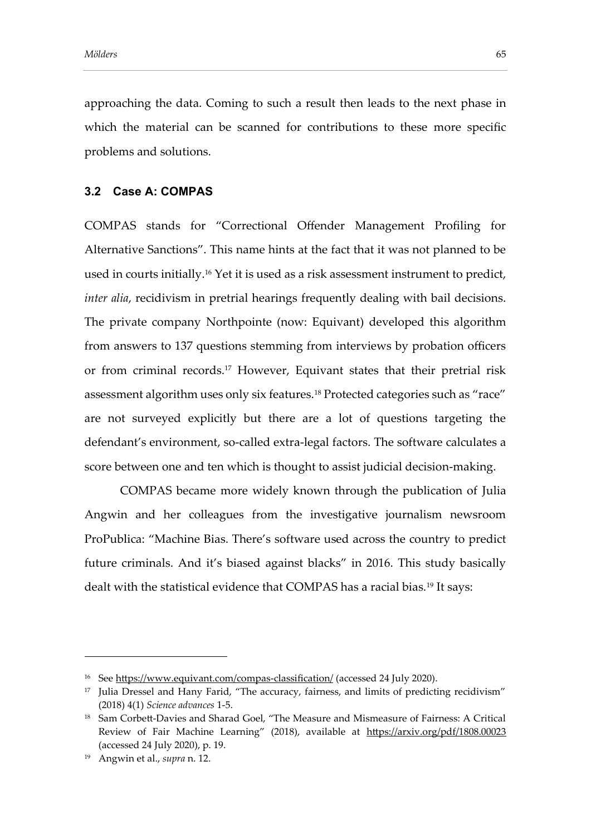approaching the data. Coming to such a result then leads to the next phase in which the material can be scanned for contributions to these more specific problems and solutions.

### **3.2 Case A: COMPAS**

COMPAS stands for "Correctional Offender Management Profiling for Alternative Sanctions". This name hints at the fact that it was not planned to be used in courts initially.<sup>16</sup> Yet it is used as a risk assessment instrument to predict, *inter alia*, recidivism in pretrial hearings frequently dealing with bail decisions. The private company Northpointe (now: Equivant) developed this algorithm from answers to 137 questions stemming from interviews by probation officers or from criminal records.<sup>17</sup> However, Equivant states that their pretrial risk assessment algorithm uses only six features.<sup>18</sup> Protected categories such as "race" are not surveyed explicitly but there are a lot of questions targeting the defendant's environment, so-called extra-legal factors. The software calculates a score between one and ten which is thought to assist judicial decision-making.

COMPAS became more widely known through the publication of Julia Angwin and her colleagues from the investigative journalism newsroom ProPublica: "Machine Bias. There's software used across the country to predict future criminals. And it's biased against blacks" in 2016. This study basically dealt with the statistical evidence that COMPAS has a racial bias.<sup>19</sup> It says:

<sup>&</sup>lt;sup>16</sup> See https://www.equivant.com/compas-classification/ (accessed 24 July 2020).

<sup>&</sup>lt;sup>17</sup> Julia Dressel and Hany Farid, "The accuracy, fairness, and limits of predicting recidivism" (2018) 4(1) *Science advances* 1-5.

<sup>18</sup> Sam Corbett-Davies and Sharad Goel, "The Measure and Mismeasure of Fairness: A Critical Review of Fair Machine Learning" (2018), available at https://arxiv.org/pdf/1808.00023 (accessed 24 July 2020), p. 19.

<sup>19</sup> Angwin et al., *supra* n. 12.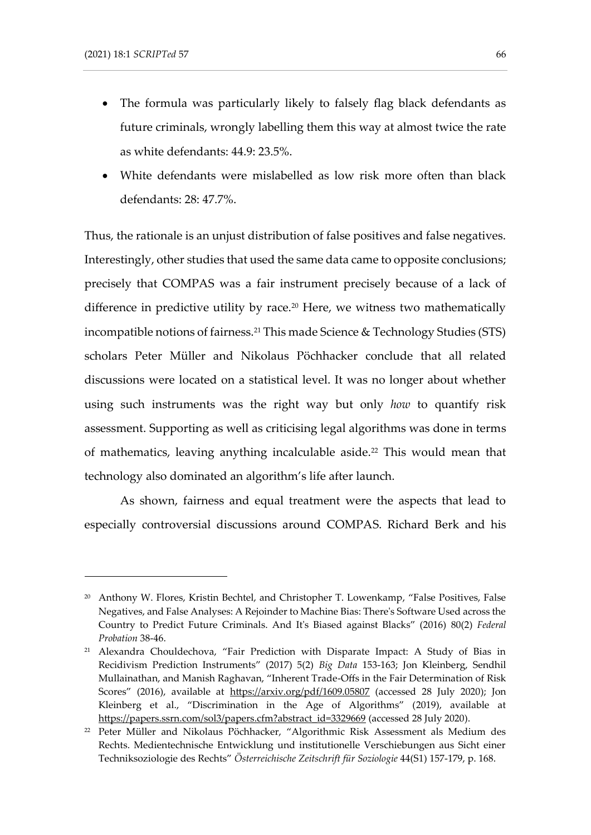- The formula was particularly likely to falsely flag black defendants as future criminals, wrongly labelling them this way at almost twice the rate as white defendants: 44.9: 23.5%.
- White defendants were mislabelled as low risk more often than black defendants: 28: 47.7%.

Thus, the rationale is an unjust distribution of false positives and false negatives. Interestingly, other studies that used the same data came to opposite conclusions; precisely that COMPAS was a fair instrument precisely because of a lack of difference in predictive utility by race.<sup>20</sup> Here, we witness two mathematically incompatible notions of fairness.<sup>21</sup> This made Science & Technology Studies (STS) scholars Peter Müller and Nikolaus Pöchhacker conclude that all related discussions were located on a statistical level. It was no longer about whether using such instruments was the right way but only *how* to quantify risk assessment. Supporting as well as criticising legal algorithms was done in terms of mathematics, leaving anything incalculable aside.<sup>22</sup> This would mean that technology also dominated an algorithm's life after launch.

As shown, fairness and equal treatment were the aspects that lead to especially controversial discussions around COMPAS. Richard Berk and his

<sup>&</sup>lt;sup>20</sup> Anthony W. Flores, Kristin Bechtel, and Christopher T. Lowenkamp, "False Positives, False Negatives, and False Analyses: A Rejoinder to Machine Bias: There's Software Used across the Country to Predict Future Criminals. And It's Biased against Blacks" (2016) 80(2) *Federal Probation* 38-46.

<sup>21</sup> Alexandra Chouldechova, "Fair Prediction with Disparate Impact: A Study of Bias in Recidivism Prediction Instruments" (2017) 5(2) *Big Data* 153-163; Jon Kleinberg, Sendhil Mullainathan, and Manish Raghavan, "Inherent Trade-Offs in the Fair Determination of Risk Scores" (2016), available at <https://arxiv.org/pdf/1609.05807> (accessed 28 July 2020); Jon Kleinberg et al., "Discrimination in the Age of Algorithms" (2019), available at [https://papers.ssrn.com/sol3/papers.cfm?abstract\\_id=3329669](https://papers.ssrn.com/sol3/papers.cfm?abstract_id=3329669) (accessed 28 July 2020).

<sup>22</sup> Peter Müller and Nikolaus Pöchhacker, "Algorithmic Risk Assessment als Medium des Rechts. Medientechnische Entwicklung und institutionelle Verschiebungen aus Sicht einer Techniksoziologie des Rechts" *Österreichische Zeitschrift für Soziologie* 44(S1) 157-179, p. 168.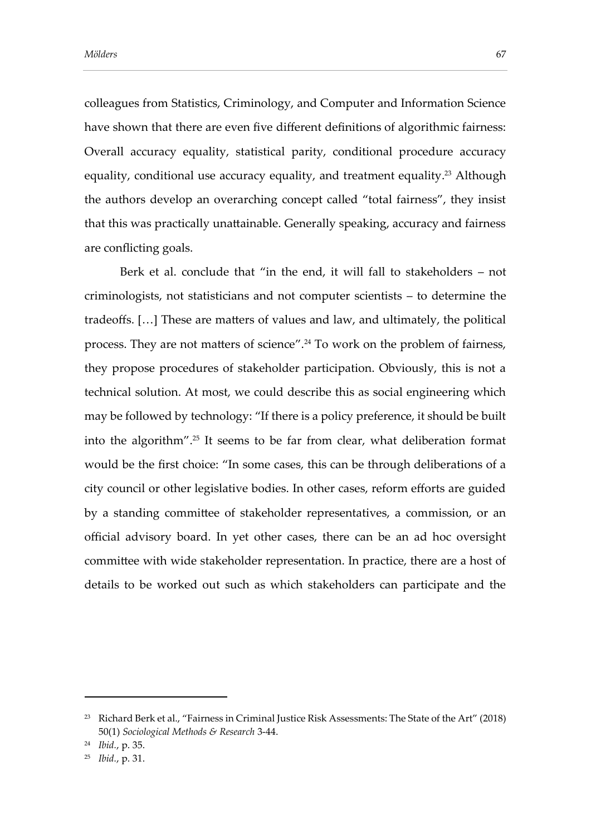colleagues from Statistics, Criminology, and Computer and Information Science have shown that there are even five different definitions of algorithmic fairness: Overall accuracy equality, statistical parity, conditional procedure accuracy equality, conditional use accuracy equality, and treatment equality. <sup>23</sup> Although the authors develop an overarching concept called "total fairness", they insist that this was practically unattainable. Generally speaking, accuracy and fairness are conflicting goals.

Berk et al. conclude that "in the end, it will fall to stakeholders – not criminologists, not statisticians and not computer scientists – to determine the tradeoffs. […] These are matters of values and law, and ultimately, the political process. They are not matters of science". <sup>24</sup> To work on the problem of fairness, they propose procedures of stakeholder participation. Obviously, this is not a technical solution. At most, we could describe this as social engineering which may be followed by technology: "If there is a policy preference, it should be built into the algorithm". <sup>25</sup> It seems to be far from clear, what deliberation format would be the first choice: "In some cases, this can be through deliberations of a city council or other legislative bodies. In other cases, reform efforts are guided by a standing committee of stakeholder representatives, a commission, or an official advisory board. In yet other cases, there can be an ad hoc oversight committee with wide stakeholder representation. In practice, there are a host of details to be worked out such as which stakeholders can participate and the

<sup>&</sup>lt;sup>23</sup> Richard Berk et al., "Fairness in Criminal Justice Risk Assessments: The State of the Art" (2018) 50(1) *Sociological Methods & Research* 3-44.

<sup>24</sup> *Ibid.*, p. 35.

<sup>25</sup> *Ibid.*, p. 31.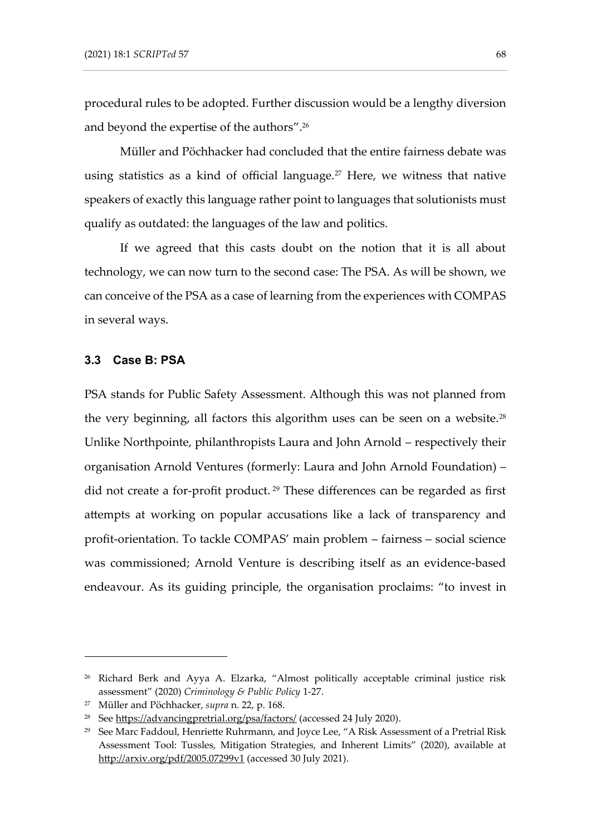procedural rules to be adopted. Further discussion would be a lengthy diversion and beyond the expertise of the authors". 26

Müller and Pöchhacker had concluded that the entire fairness debate was using statistics as a kind of official language.<sup>27</sup> Here, we witness that native speakers of exactly this language rather point to languages that solutionists must qualify as outdated: the languages of the law and politics.

If we agreed that this casts doubt on the notion that it is all about technology, we can now turn to the second case: The PSA. As will be shown, we can conceive of the PSA as a case of learning from the experiences with COMPAS in several ways.

#### **3.3 Case B: PSA**

PSA stands for Public Safety Assessment. Although this was not planned from the very beginning, all factors this algorithm uses can be seen on a website.<sup>28</sup> Unlike Northpointe, philanthropists Laura and John Arnold – respectively their organisation Arnold Ventures (formerly: Laura and John Arnold Foundation) – did not create a for-profit product. <sup>29</sup> These differences can be regarded as first attempts at working on popular accusations like a lack of transparency and profit-orientation. To tackle COMPAS' main problem – fairness – social science was commissioned; Arnold Venture is describing itself as an evidence-based endeavour. As its guiding principle, the organisation proclaims: "to invest in

<sup>&</sup>lt;sup>26</sup> Richard Berk and Ayya A. Elzarka, "Almost politically acceptable criminal justice risk assessment" (2020) *Criminology & Public Policy* 1-27.

<sup>27</sup> Müller and Pöchhacker, *supra* n. 22, p. 168.

<sup>&</sup>lt;sup>28</sup> See https://advancingpretrial.org/psa/factors/ (accessed 24 July 2020).

<sup>&</sup>lt;sup>29</sup> See Marc Faddoul, Henriette Ruhrmann, and Joyce Lee, "A Risk Assessment of a Pretrial Risk Assessment Tool: Tussles, Mitigation Strategies, and Inherent Limits" (2020), available at <http://arxiv.org/pdf/2005.07299v1> (accessed 30 July 2021).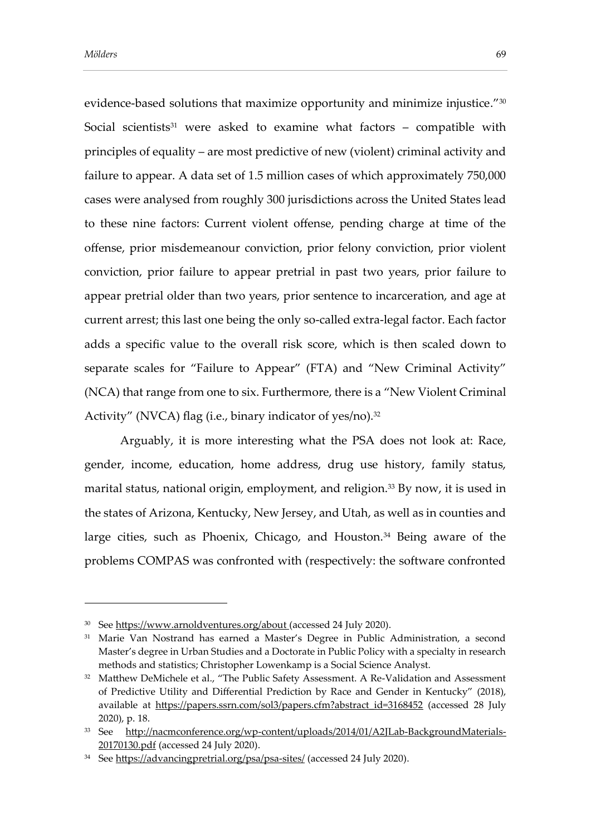evidence-based solutions that maximize opportunity and minimize injustice."<sup>30</sup> Social scientists<sup>31</sup> were asked to examine what factors - compatible with principles of equality – are most predictive of new (violent) criminal activity and failure to appear. A data set of 1.5 million cases of which approximately 750,000 cases were analysed from roughly 300 jurisdictions across the United States lead to these nine factors: Current violent offense, pending charge at time of the offense, prior misdemeanour conviction, prior felony conviction, prior violent conviction, prior failure to appear pretrial in past two years, prior failure to appear pretrial older than two years, prior sentence to incarceration, and age at current arrest; this last one being the only so-called extra-legal factor. Each factor adds a specific value to the overall risk score, which is then scaled down to separate scales for "Failure to Appear" (FTA) and "New Criminal Activity" (NCA) that range from one to six. Furthermore, there is a "New Violent Criminal Activity" (NVCA) flag (i.e., binary indicator of yes/no).<sup>32</sup>

Arguably, it is more interesting what the PSA does not look at: Race, gender, income, education, home address, drug use history, family status, marital status, national origin, employment, and religion.<sup>33</sup> By now, it is used in the states of Arizona, Kentucky, New Jersey, and Utah, as well as in counties and large cities, such as Phoenix, Chicago, and Houston.<sup>34</sup> Being aware of the problems COMPAS was confronted with (respectively: the software confronted

<sup>&</sup>lt;sup>30</sup> See https://www.arnoldventures.org/about (accessed 24 July 2020).

<sup>31</sup> Marie Van Nostrand has earned a Master's Degree in Public Administration, a second Master's degree in Urban Studies and a Doctorate in Public Policy with a specialty in research methods and statistics; Christopher Lowenkamp is a Social Science Analyst.

<sup>&</sup>lt;sup>32</sup> Matthew DeMichele et al., "The Public Safety Assessment. A Re-Validation and Assessment of Predictive Utility and Differential Prediction by Race and Gender in Kentucky" (2018), available at [https://papers.ssrn.com/sol3/papers.cfm?abstract\\_id=3168452](https://papers.ssrn.com/sol3/papers.cfm?abstract_id=3168452) (accessed 28 July 2020), p. 18.

<sup>33</sup> See [http://nacmconference.org/wp-content/uploads/2014/01/A2JLab-BackgroundMaterials-](http://nacmconference.org/wp-content/uploads/2014/01/A2JLab-BackgroundMaterials-20170130.pdf)[20170130.pdf](http://nacmconference.org/wp-content/uploads/2014/01/A2JLab-BackgroundMaterials-20170130.pdf) (accessed 24 July 2020).

<sup>34</sup> Se[e https://advancingpretrial.org/psa/psa-sites/](https://advancingpretrial.org/psa/psa-sites/) (accessed 24 July 2020).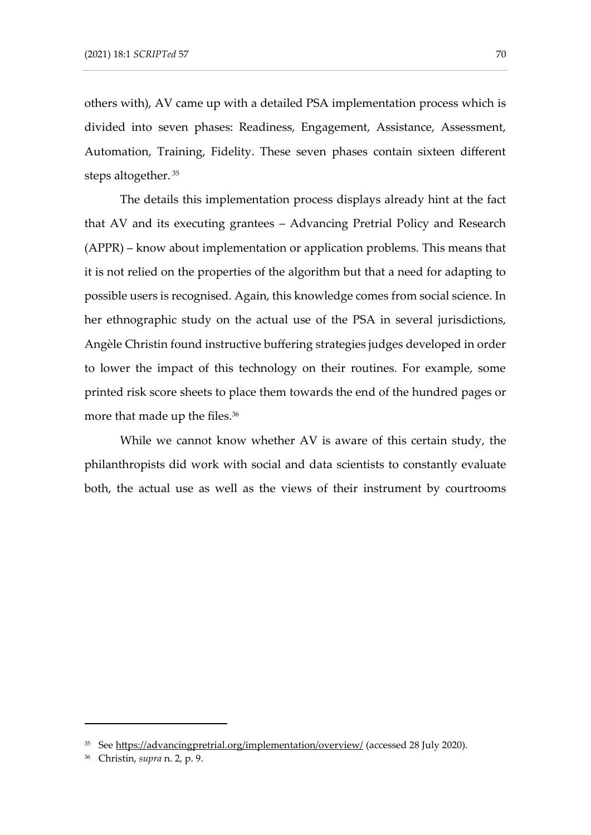others with), AV came up with a detailed PSA implementation process which is divided into seven phases: Readiness, Engagement, Assistance, Assessment, Automation, Training, Fidelity. These seven phases contain sixteen different steps altogether. <sup>35</sup>

The details this implementation process displays already hint at the fact that AV and its executing grantees – Advancing Pretrial Policy and Research (APPR) – know about implementation or application problems. This means that it is not relied on the properties of the algorithm but that a need for adapting to possible users is recognised. Again, this knowledge comes from social science. In her ethnographic study on the actual use of the PSA in several jurisdictions, Angèle Christin found instructive buffering strategies judges developed in order to lower the impact of this technology on their routines. For example, some printed risk score sheets to place them towards the end of the hundred pages or more that made up the files. 36

While we cannot know whether AV is aware of this certain study, the philanthropists did work with social and data scientists to constantly evaluate both, the actual use as well as the views of their instrument by courtrooms

<sup>35</sup> Se[e https://advancingpretrial.org/implementation/overview/](https://advancingpretrial.org/implementation/overview/) (accessed 28 July 2020).

<sup>36</sup> Christin, *supra* n. 2, p. 9.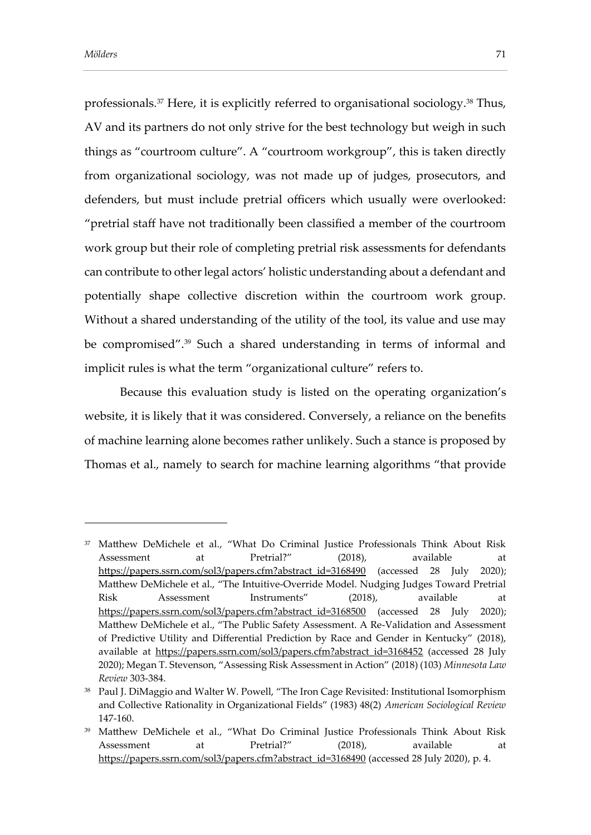professionals.<sup>37</sup> Here, it is explicitly referred to organisational sociology. <sup>38</sup> Thus, AV and its partners do not only strive for the best technology but weigh in such things as "courtroom culture". A "courtroom workgroup", this is taken directly from organizational sociology, was not made up of judges, prosecutors, and defenders, but must include pretrial officers which usually were overlooked: "pretrial staff have not traditionally been classified a member of the courtroom work group but their role of completing pretrial risk assessments for defendants can contribute to other legal actors' holistic understanding about a defendant and potentially shape collective discretion within the courtroom work group. Without a shared understanding of the utility of the tool, its value and use may be compromised".<sup>39</sup> Such a shared understanding in terms of informal and implicit rules is what the term "organizational culture" refers to.

Because this evaluation study is listed on the operating organization's website, it is likely that it was considered. Conversely, a reliance on the benefits of machine learning alone becomes rather unlikely. Such a stance is proposed by Thomas et al., namely to search for machine learning algorithms "that provide

<sup>37</sup> Matthew DeMichele et al., "What Do Criminal Justice Professionals Think About Risk Assessment at Pretrial?" (2018), available at [https://papers.ssrn.com/sol3/papers.cfm?abstract\\_id=3168490](https://papers.ssrn.com/sol3/papers.cfm?abstract_id=3168490) (accessed 28 July 2020); Matthew DeMichele et al., "The Intuitive-Override Model. Nudging Judges Toward Pretrial Risk Assessment Instruments" (2018), available at [https://papers.ssrn.com/sol3/papers.cfm?abstract\\_id=3168500](https://papers.ssrn.com/sol3/papers.cfm?abstract_id=3168500) (accessed 28 July 2020); Matthew DeMichele et al., "The Public Safety Assessment. A Re-Validation and Assessment of Predictive Utility and Differential Prediction by Race and Gender in Kentucky" (2018), available at [https://papers.ssrn.com/sol3/papers.cfm?abstract\\_id=3168452](https://papers.ssrn.com/sol3/papers.cfm?abstract_id=3168452) (accessed 28 July 2020); Megan T. Stevenson, "Assessing Risk Assessment in Action" (2018) (103) *Minnesota Law Review* 303-384.

<sup>&</sup>lt;sup>38</sup> Paul J. DiMaggio and Walter W. Powell, "The Iron Cage Revisited: Institutional Isomorphism and Collective Rationality in Organizational Fields" (1983) 48(2) *American Sociological Review*  147-160.

<sup>39</sup> Matthew DeMichele et al., "What Do Criminal Justice Professionals Think About Risk Assessment at Pretrial?" (2018), available at [https://papers.ssrn.com/sol3/papers.cfm?abstract\\_id=3168490](https://papers.ssrn.com/sol3/papers.cfm?abstract_id=3168490) (accessed 28 July 2020), p. 4.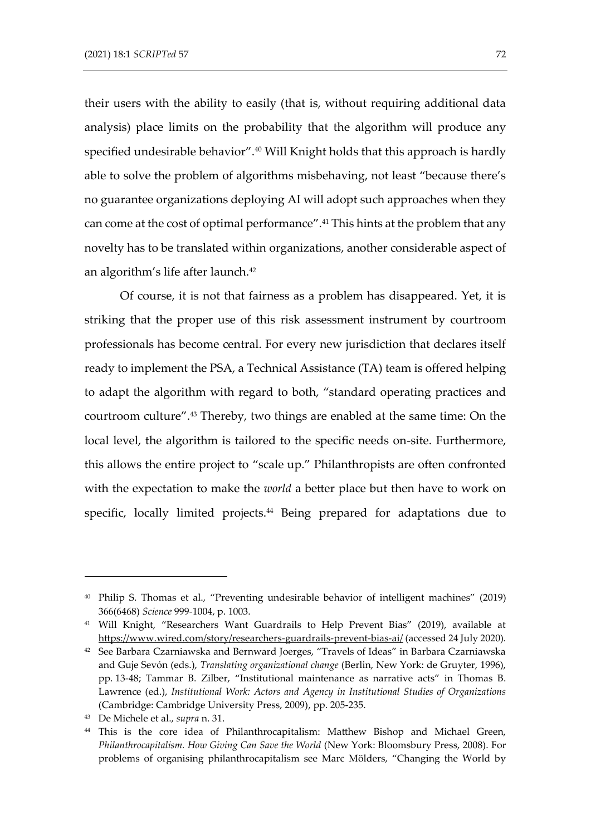their users with the ability to easily (that is, without requiring additional data analysis) place limits on the probability that the algorithm will produce any specified undesirable behavior". <sup>40</sup> Will Knight holds that this approach is hardly able to solve the problem of algorithms misbehaving, not least "because there's no guarantee organizations deploying AI will adopt such approaches when they can come at the cost of optimal performance".<sup>41</sup> This hints at the problem that any novelty has to be translated within organizations, another considerable aspect of an algorithm's life after launch.<sup>42</sup>

Of course, it is not that fairness as a problem has disappeared. Yet, it is striking that the proper use of this risk assessment instrument by courtroom professionals has become central. For every new jurisdiction that declares itself ready to implement the PSA, a Technical Assistance (TA) team is offered helping to adapt the algorithm with regard to both, "standard operating practices and courtroom culture".<sup>43</sup> Thereby, two things are enabled at the same time: On the local level, the algorithm is tailored to the specific needs on-site. Furthermore, this allows the entire project to "scale up." Philanthropists are often confronted with the expectation to make the *world* a better place but then have to work on specific, locally limited projects.<sup>44</sup> Being prepared for adaptations due to

<sup>40</sup> Philip S. Thomas et al., "Preventing undesirable behavior of intelligent machines" (2019) 366(6468) *Science* 999-1004, p. 1003.

<sup>41</sup> Will Knight, "Researchers Want Guardrails to Help Prevent Bias" (2019), available at <https://www.wired.com/story/researchers-guardrails-prevent-bias-ai/> (accessed 24 July 2020).

<sup>42</sup> See Barbara Czarniawska and Bernward Joerges, "Travels of Ideas" in Barbara Czarniawska and Guje Sevón (eds.), *Translating organizational change* (Berlin, New York: de Gruyter, 1996), pp. 13-48; Tammar B. Zilber, "Institutional maintenance as narrative acts" in Thomas B. Lawrence (ed.), *Institutional Work: Actors and Agency in Institutional Studies of Organizations* (Cambridge: Cambridge University Press, 2009), pp. 205-235.

<sup>43</sup> De Michele et al., *supra* n. 31.

<sup>44</sup> This is the core idea of Philanthrocapitalism: Matthew Bishop and Michael Green, *Philanthrocapitalism. How Giving Can Save the World* (New York: Bloomsbury Press, 2008). For problems of organising philanthrocapitalism see Marc Mölders, "Changing the World by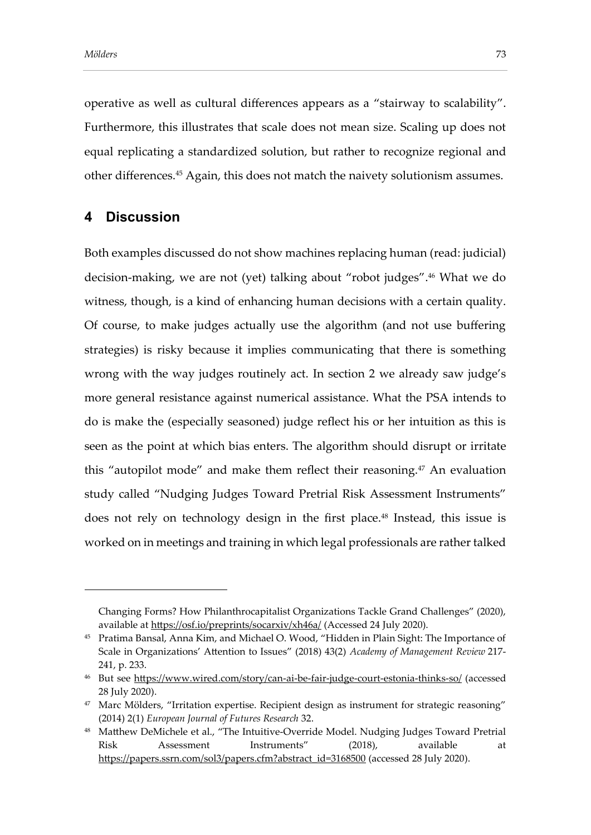operative as well as cultural differences appears as a "stairway to scalability". Furthermore, this illustrates that scale does not mean size. Scaling up does not equal replicating a standardized solution, but rather to recognize regional and other differences.<sup>45</sup> Again, this does not match the naivety solutionism assumes.

## **4 Discussion**

Both examples discussed do not show machines replacing human (read: judicial) decision-making, we are not (yet) talking about "robot judges". <sup>46</sup> What we do witness, though, is a kind of enhancing human decisions with a certain quality. Of course, to make judges actually use the algorithm (and not use buffering strategies) is risky because it implies communicating that there is something wrong with the way judges routinely act. In section 2 we already saw judge's more general resistance against numerical assistance. What the PSA intends to do is make the (especially seasoned) judge reflect his or her intuition as this is seen as the point at which bias enters. The algorithm should disrupt or irritate this "autopilot mode" and make them reflect their reasoning. $47$  An evaluation study called "Nudging Judges Toward Pretrial Risk Assessment Instruments" does not rely on technology design in the first place.<sup>48</sup> Instead, this issue is worked on in meetings and training in which legal professionals are rather talked

Changing Forms? How Philanthrocapitalist Organizations Tackle Grand Challenges" (2020), available at<https://osf.io/preprints/socarxiv/xh46a/> (Accessed 24 July 2020).

<sup>45</sup> Pratima Bansal, Anna Kim, and Michael O. Wood, "Hidden in Plain Sight: The Importance of Scale in Organizations' Attention to Issues" (2018) 43(2) *Academy of Management Review* 217- 241, p. 233.

<sup>&</sup>lt;sup>46</sup> But see<https://www.wired.com/story/can-ai-be-fair-judge-court-estonia-thinks-so/> (accessed 28 July 2020).

<sup>&</sup>lt;sup>47</sup> Marc Mölders, "Irritation expertise. Recipient design as instrument for strategic reasoning" (2014) 2(1) *European Journal of Futures Research* 32.

<sup>48</sup> Matthew DeMichele et al., "The Intuitive-Override Model. Nudging Judges Toward Pretrial Risk Assessment Instruments" (2018), available at [https://papers.ssrn.com/sol3/papers.cfm?abstract\\_id=3168500](https://papers.ssrn.com/sol3/papers.cfm?abstract_id=3168500) (accessed 28 July 2020).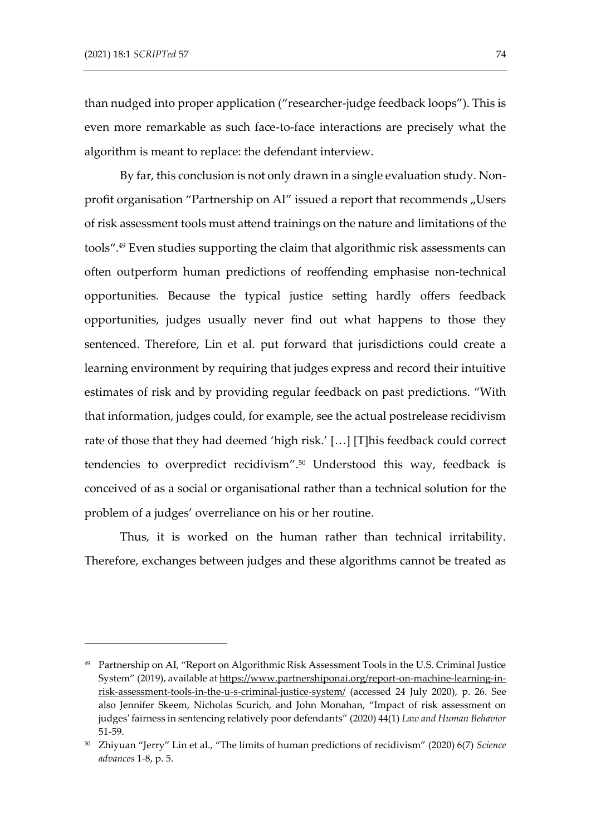than nudged into proper application ("researcher-judge feedback loops"). This is even more remarkable as such face-to-face interactions are precisely what the algorithm is meant to replace: the defendant interview.

By far, this conclusion is not only drawn in a single evaluation study. Nonprofit organisation "Partnership on AI" issued a report that recommends "Users of risk assessment tools must attend trainings on the nature and limitations of the tools".<sup>49</sup> Even studies supporting the claim that algorithmic risk assessments can often outperform human predictions of reoffending emphasise non-technical opportunities. Because the typical justice setting hardly offers feedback opportunities, judges usually never find out what happens to those they sentenced. Therefore, Lin et al. put forward that jurisdictions could create a learning environment by requiring that judges express and record their intuitive estimates of risk and by providing regular feedback on past predictions. "With that information, judges could, for example, see the actual postrelease recidivism rate of those that they had deemed 'high risk.' […] [T]his feedback could correct tendencies to overpredict recidivism". <sup>50</sup> Understood this way, feedback is conceived of as a social or organisational rather than a technical solution for the problem of a judges' overreliance on his or her routine.

Thus, it is worked on the human rather than technical irritability. Therefore, exchanges between judges and these algorithms cannot be treated as

<sup>49</sup> Partnership on AI, "Report on Algorithmic Risk Assessment Tools in the U.S. Criminal Justice System" (2019), available a[t https://www.partnershiponai.org/report-on-machine-learning-in](https://www.partnershiponai.org/report-on-machine-learning-in-risk-assessment-tools-in-the-u-s-criminal-justice-system/)[risk-assessment-tools-in-the-u-s-criminal-justice-system/](https://www.partnershiponai.org/report-on-machine-learning-in-risk-assessment-tools-in-the-u-s-criminal-justice-system/) (accessed 24 July 2020), p. 26. See also Jennifer Skeem, Nicholas Scurich, and John Monahan, "Impact of risk assessment on judges' fairness in sentencing relatively poor defendants" (2020) 44(1) *Law and Human Behavior*  51-59.

<sup>50</sup> Zhiyuan "Jerry" Lin et al., "The limits of human predictions of recidivism" (2020) 6(7) *Science advances* 1-8, p. 5.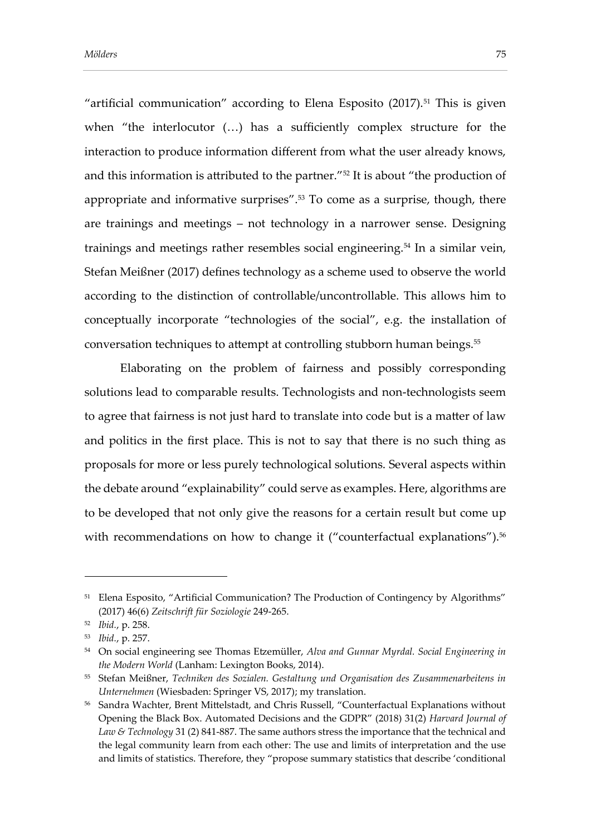"artificial communication" according to Elena Esposito  $(2017).<sup>51</sup>$  This is given when "the interlocutor (…) has a sufficiently complex structure for the interaction to produce information different from what the user already knows, and this information is attributed to the partner."<sup>52</sup> It is about "the production of appropriate and informative surprises". <sup>53</sup> To come as a surprise, though, there are trainings and meetings – not technology in a narrower sense. Designing trainings and meetings rather resembles social engineering.<sup>54</sup> In a similar vein, Stefan Meißner (2017) defines technology as a scheme used to observe the world according to the distinction of controllable/uncontrollable. This allows him to conceptually incorporate "technologies of the social", e.g. the installation of conversation techniques to attempt at controlling stubborn human beings.<sup>55</sup>

Elaborating on the problem of fairness and possibly corresponding solutions lead to comparable results. Technologists and non-technologists seem to agree that fairness is not just hard to translate into code but is a matter of law and politics in the first place. This is not to say that there is no such thing as proposals for more or less purely technological solutions. Several aspects within the debate around "explainability" could serve as examples. Here, algorithms are to be developed that not only give the reasons for a certain result but come up with recommendations on how to change it ("counterfactual explanations").<sup>56</sup>

<sup>&</sup>lt;sup>51</sup> Elena Esposito, "Artificial Communication? The Production of Contingency by Algorithms" (2017) 46(6) *Zeitschrift für Soziologie* 249-265.

<sup>52</sup> *Ibid.*, p. 258.

<sup>53</sup> *Ibid.*, p. 257.

<sup>54</sup> On social engineering see Thomas Etzemüller, *Alva and Gunnar Myrdal. Social Engineering in the Modern World* (Lanham: Lexington Books, 2014).

<sup>55</sup> Stefan Meißner, *Techniken des Sozialen. Gestaltung und Organisation des Zusammenarbeitens in Unternehmen* (Wiesbaden: Springer VS, 2017); my translation.

<sup>56</sup> Sandra Wachter, Brent Mittelstadt, and Chris Russell, "Counterfactual Explanations without Opening the Black Box. Automated Decisions and the GDPR" (2018) 31(2) *Harvard Journal of Law & Technology* 31 (2) 841-887. The same authors stress the importance that the technical and the legal community learn from each other: The use and limits of interpretation and the use and limits of statistics. Therefore, they "propose summary statistics that describe 'conditional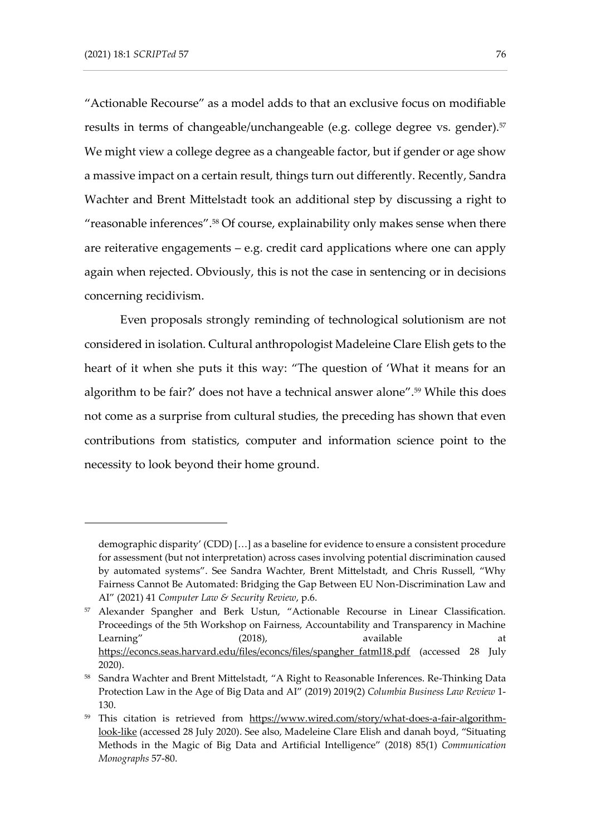"Actionable Recourse" as a model adds to that an exclusive focus on modifiable results in terms of changeable/unchangeable (e.g. college degree vs. gender).<sup>57</sup> We might view a college degree as a changeable factor, but if gender or age show a massive impact on a certain result, things turn out differently. Recently, Sandra Wachter and Brent Mittelstadt took an additional step by discussing a right to "reasonable inferences".<sup>58</sup> Of course, explainability only makes sense when there are reiterative engagements – e.g. credit card applications where one can apply again when rejected. Obviously, this is not the case in sentencing or in decisions concerning recidivism.

Even proposals strongly reminding of technological solutionism are not considered in isolation. Cultural anthropologist Madeleine Clare Elish gets to the heart of it when she puts it this way: "The question of 'What it means for an algorithm to be fair?' does not have a technical answer alone".<sup>59</sup> While this does not come as a surprise from cultural studies, the preceding has shown that even contributions from statistics, computer and information science point to the necessity to look beyond their home ground.

demographic disparity' (CDD) […] as a baseline for evidence to ensure a consistent procedure for assessment (but not interpretation) across cases involving potential discrimination caused by automated systems". See Sandra Wachter, Brent Mittelstadt, and Chris Russell, "Why Fairness Cannot Be Automated: Bridging the Gap Between EU Non-Discrimination Law and AI" (2021) 41 *Computer Law & Security Review*, p.6.

<sup>57</sup> Alexander Spangher and Berk Ustun, "Actionable Recourse in Linear Classification. Proceedings of the 5th Workshop on Fairness, Accountability and Transparency in Machine Learning" (2018), available at [https://econcs.seas.harvard.edu/files/econcs/files/spangher\\_fatml18.pdf](https://econcs.seas.harvard.edu/files/econcs/files/spangher_fatml18.pdf) (accessed 28 July 2020).

<sup>&</sup>lt;sup>58</sup> Sandra Wachter and Brent Mittelstadt, "A Right to Reasonable Inferences. Re-Thinking Data Protection Law in the Age of Big Data and AI" (2019) 2019(2) *Columbia Business Law Review* 1- 130.

<sup>&</sup>lt;sup>59</sup> This citation is retrieved from [https://www.wired.com/story/what-does-a-fair-algorithm](https://www.wired.com/story/what-does-a-fair-algorithm-look-like)[look-like](https://www.wired.com/story/what-does-a-fair-algorithm-look-like) (accessed 28 July 2020). See also, Madeleine Clare Elish and danah boyd, "Situating Methods in the Magic of Big Data and Artificial Intelligence" (2018) 85(1) *Communication Monographs* 57-80.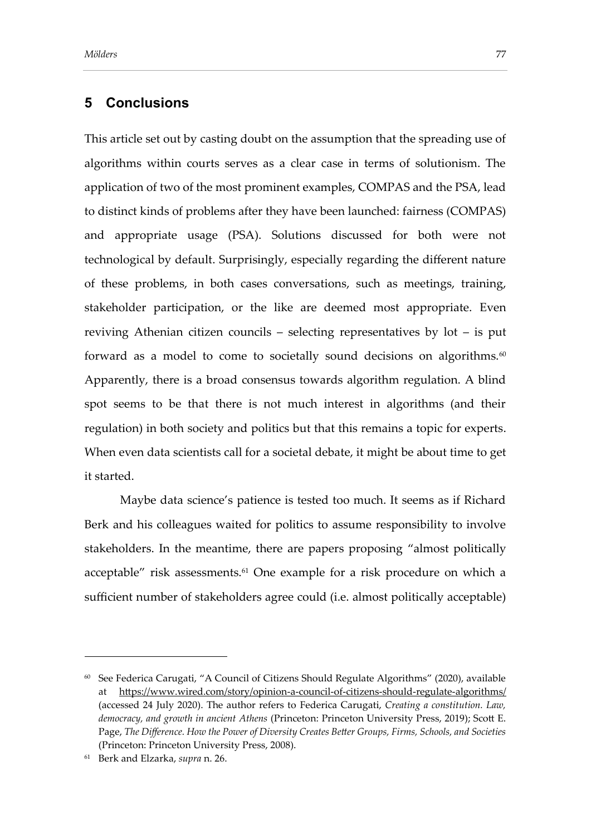## **5 Conclusions**

This article set out by casting doubt on the assumption that the spreading use of algorithms within courts serves as a clear case in terms of solutionism. The application of two of the most prominent examples, COMPAS and the PSA, lead to distinct kinds of problems after they have been launched: fairness (COMPAS) and appropriate usage (PSA). Solutions discussed for both were not technological by default. Surprisingly, especially regarding the different nature of these problems, in both cases conversations, such as meetings, training, stakeholder participation, or the like are deemed most appropriate. Even reviving Athenian citizen councils – selecting representatives by lot – is put forward as a model to come to societally sound decisions on algorithms.<sup>60</sup> Apparently, there is a broad consensus towards algorithm regulation. A blind spot seems to be that there is not much interest in algorithms (and their regulation) in both society and politics but that this remains a topic for experts. When even data scientists call for a societal debate, it might be about time to get it started.

Maybe data science's patience is tested too much. It seems as if Richard Berk and his colleagues waited for politics to assume responsibility to involve stakeholders. In the meantime, there are papers proposing "almost politically acceptable" risk assessments.<sup>61</sup> One example for a risk procedure on which a sufficient number of stakeholders agree could (i.e. almost politically acceptable)

 $60$  See Federica Carugati, "A Council of Citizens Should Regulate Algorithms" (2020), available at <https://www.wired.com/story/opinion-a-council-of-citizens-should-regulate-algorithms/> (accessed 24 July 2020). The author refers to Federica Carugati, *Creating a constitution. Law, democracy, and growth in ancient Athens* (Princeton: Princeton University Press, 2019); Scott E. Page, *The Difference. How the Power of Diversity Creates Better Groups, Firms, Schools, and Societies* (Princeton: Princeton University Press, 2008).

<sup>61</sup> Berk and Elzarka, *supra* n. 26.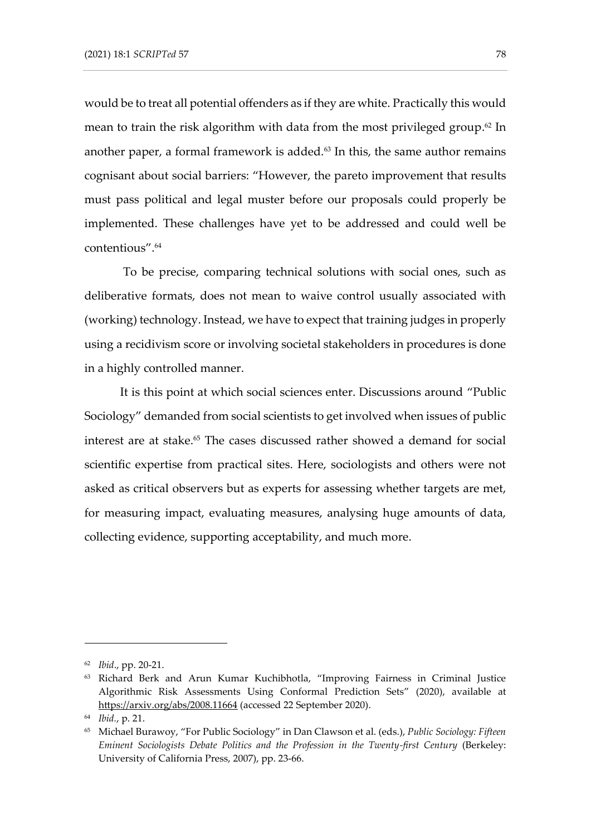would be to treat all potential offenders as if they are white. Practically this would mean to train the risk algorithm with data from the most privileged group. <sup>62</sup> In another paper, a formal framework is added. $63$  In this, the same author remains cognisant about social barriers: "However, the pareto improvement that results must pass political and legal muster before our proposals could properly be implemented. These challenges have yet to be addressed and could well be contentious".<sup>64</sup>

To be precise, comparing technical solutions with social ones, such as deliberative formats, does not mean to waive control usually associated with (working) technology. Instead, we have to expect that training judges in properly using a recidivism score or involving societal stakeholders in procedures is done in a highly controlled manner.

It is this point at which social sciences enter. Discussions around "Public Sociology" demanded from social scientists to get involved when issues of public interest are at stake.<sup>65</sup> The cases discussed rather showed a demand for social scientific expertise from practical sites. Here, sociologists and others were not asked as critical observers but as experts for assessing whether targets are met, for measuring impact, evaluating measures, analysing huge amounts of data, collecting evidence, supporting acceptability, and much more.

<sup>62</sup> *Ibid*., pp. 20-21.

<sup>63</sup> Richard Berk and Arun Kumar Kuchibhotla, "Improving Fairness in Criminal Justice Algorithmic Risk Assessments Using Conformal Prediction Sets" (2020), available at <https://arxiv.org/abs/2008.11664> (accessed 22 September 2020).

<sup>64</sup> *Ibid.*, p. 21.

<sup>65</sup> Michael Burawoy, "For Public Sociology" in Dan Clawson et al. (eds.), *Public Sociology: Fifteen Eminent Sociologists Debate Politics and the Profession in the Twenty-first Century* (Berkeley: University of California Press, 2007), pp. 23-66.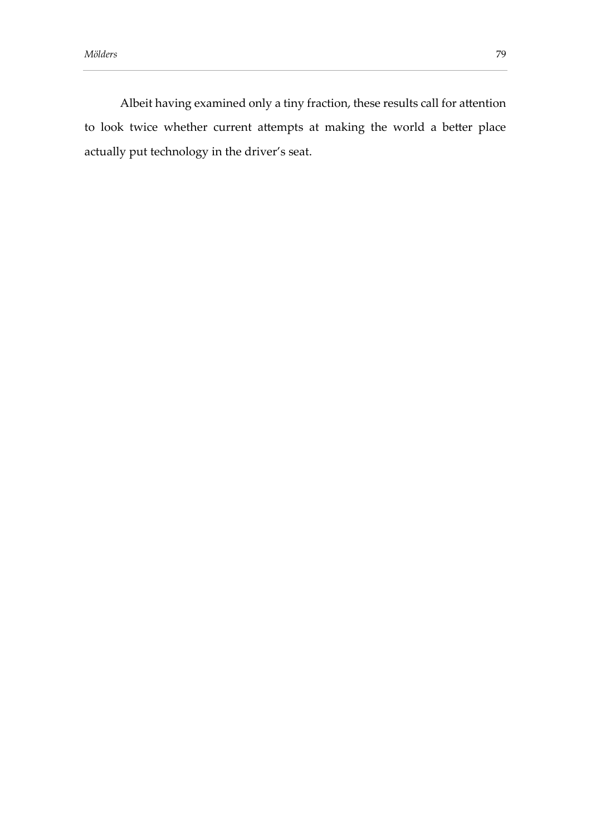Albeit having examined only a tiny fraction, these results call for attention to look twice whether current attempts at making the world a better place actually put technology in the driver's seat.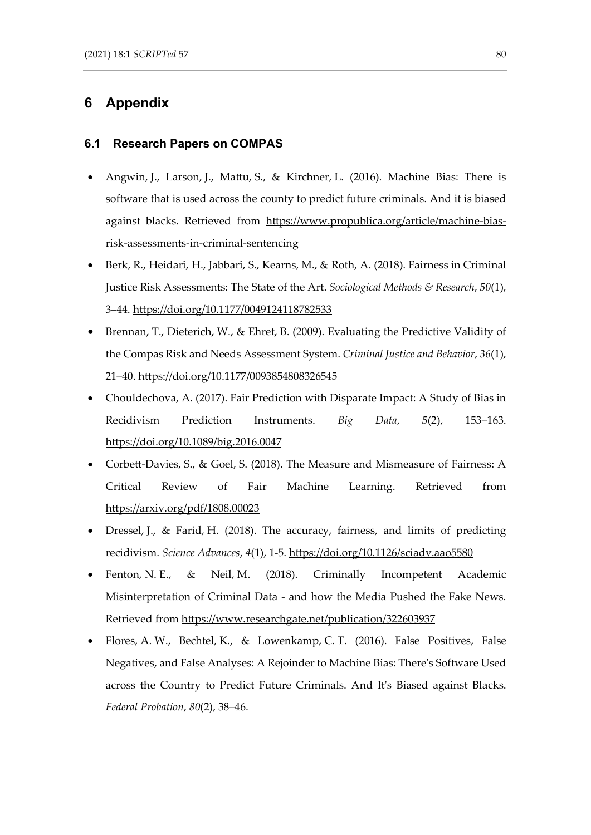## **6 Appendix**

#### **6.1 Research Papers on COMPAS**

- Angwin, J., Larson, J., Mattu, S., & Kirchner, L. (2016). Machine Bias: There is software that is used across the county to predict future criminals. And it is biased against blacks. Retrieved from [https://www.propublica.org/article/machine-bias](https://www.propublica.org/article/machine-bias-risk-assessments-in-criminal-sentencing)[risk-assessments-in-criminal-sentencing](https://www.propublica.org/article/machine-bias-risk-assessments-in-criminal-sentencing)
- Berk, R., Heidari, H., Jabbari, S., Kearns, M., & Roth, A. (2018). Fairness in Criminal Justice Risk Assessments: The State of the Art. *Sociological Methods & Research*, *50*(1), 3–44.<https://doi.org/10.1177/0049124118782533>
- Brennan, T., Dieterich, W., & Ehret, B. (2009). Evaluating the Predictive Validity of the Compas Risk and Needs Assessment System. *Criminal Justice and Behavior*, *36*(1), 21–40.<https://doi.org/10.1177/0093854808326545>
- Chouldechova, A. (2017). Fair Prediction with Disparate Impact: A Study of Bias in Recidivism Prediction Instruments. *Big Data*, *5*(2), 153–163. <https://doi.org/10.1089/big.2016.0047>
- Corbett-Davies, S., & Goel, S. (2018). The Measure and Mismeasure of Fairness: A Critical Review of Fair Machine Learning. Retrieved from <https://arxiv.org/pdf/1808.00023>
- Dressel, J., & Farid, H. (2018). The accuracy, fairness, and limits of predicting recidivism. *Science Advances*, *4*(1), 1-5.<https://doi.org/10.1126/sciadv.aao5580>
- Fenton, N. E., & Neil, M. (2018). Criminally Incompetent Academic Misinterpretation of Criminal Data - and how the Media Pushed the Fake News. Retrieved from<https://www.researchgate.net/publication/322603937>
- Flores, A. W., Bechtel, K., & Lowenkamp, C. T. (2016). False Positives, False Negatives, and False Analyses: A Rejoinder to Machine Bias: There's Software Used across the Country to Predict Future Criminals. And It's Biased against Blacks. *Federal Probation*, *80*(2), 38–46.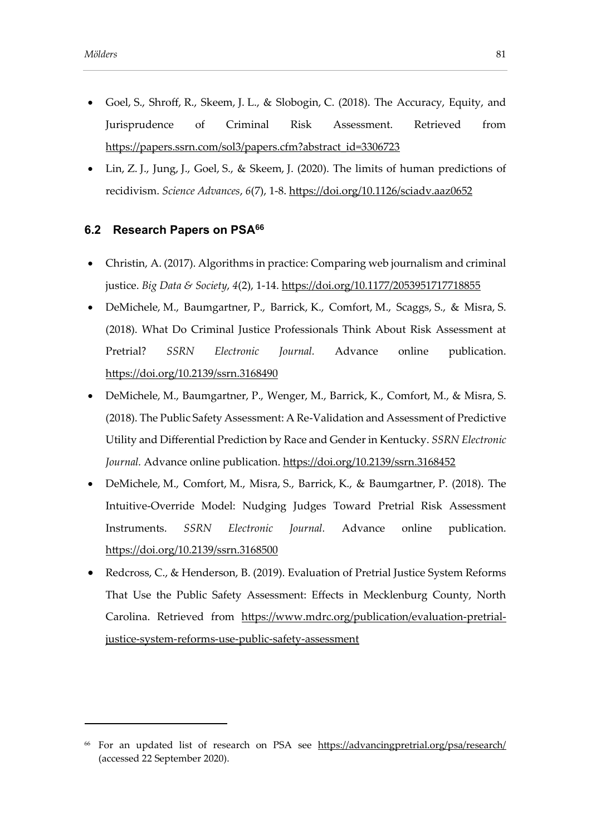- Goel, S., Shroff, R., Skeem, J. L., & Slobogin, C. (2018). The Accuracy, Equity, and Jurisprudence of Criminal Risk Assessment. Retrieved from [https://papers.ssrn.com/sol3/papers.cfm?abstract\\_id=3306723](https://papers.ssrn.com/sol3/papers.cfm?abstract_id=3306723)
- Lin, Z. J., Jung, J., Goel, S., & Skeem, J. (2020). The limits of human predictions of recidivism. *Science Advances*, *6*(7), 1-8.<https://doi.org/10.1126/sciadv.aaz0652>

#### **6.2 Research Papers on PSA<sup>66</sup>**

- Christin, A. (2017). Algorithms in practice: Comparing web journalism and criminal justice. *Big Data & Society*, *4*(2), 1-14[. https://doi.org/10.1177/2053951717718855](https://doi.org/10.1177/2053951717718855)
- DeMichele, M., Baumgartner, P., Barrick, K., Comfort, M., Scaggs, S., & Misra, S. (2018). What Do Criminal Justice Professionals Think About Risk Assessment at Pretrial? *SSRN Electronic Journal.* Advance online publication. <https://doi.org/10.2139/ssrn.3168490>
- DeMichele, M., Baumgartner, P., Wenger, M., Barrick, K., Comfort, M., & Misra, S. (2018). The Public Safety Assessment: A Re-Validation and Assessment of Predictive Utility and Differential Prediction by Race and Gender in Kentucky. *SSRN Electronic*  Journal. Advance online publication.<https://doi.org/10.2139/ssrn.3168452>
- DeMichele, M., Comfort, M., Misra, S., Barrick, K., & Baumgartner, P. (2018). The Intuitive-Override Model: Nudging Judges Toward Pretrial Risk Assessment Instruments. *SSRN Electronic Journal.* Advance online publication. <https://doi.org/10.2139/ssrn.3168500>
- Redcross, C., & Henderson, B. (2019). Evaluation of Pretrial Justice System Reforms That Use the Public Safety Assessment: Effects in Mecklenburg County, North Carolina. Retrieved from [https://www.mdrc.org/publication/evaluation-pretrial](https://www.mdrc.org/publication/evaluation-pretrial-justice-system-reforms-use-public-safety-assessment)[justice-system-reforms-use-public-safety-assessment](https://www.mdrc.org/publication/evaluation-pretrial-justice-system-reforms-use-public-safety-assessment)

<sup>66</sup> For an updated list of research on PSA see <https://advancingpretrial.org/psa/research/> (accessed 22 September 2020).